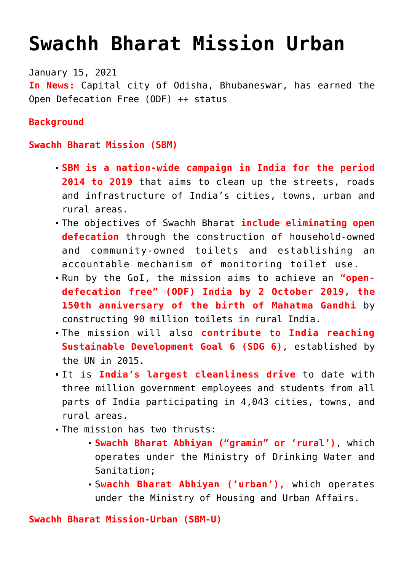# **[Swachh Bharat Mission Urban](https://journalsofindia.com/swachh-bharat-mission-urban/)**

January 15, 2021 **In News:** Capital city of Odisha, Bhubaneswar, has earned the Open Defecation Free (ODF) ++ status

## **Background**

#### **Swachh Bharat Mission (SBM)**

- **SBM is a nation-wide campaign in India for the period 2014 to 2019** that aims to clean up the streets, roads and infrastructure of India's cities, towns, urban and rural areas.
- The objectives of Swachh Bharat **include eliminating open defecation** through the construction of household-owned and community-owned toilets and establishing an accountable mechanism of monitoring toilet use.
- Run by the GoI, the mission aims to achieve an **"opendefecation free" (ODF) India by 2 October 2019, the 150th anniversary of the birth of Mahatma Gandhi** by constructing 90 million toilets in rural India.
- The mission will also **contribute to India reaching Sustainable Development Goal 6 (SDG 6)**, established by the UN in 2015.
- It is **India's largest cleanliness drive** to date with three million government employees and students from all parts of India participating in 4,043 cities, towns, and rural areas.
- The mission has two thrusts:
	- **Swachh Bharat Abhiyan ("gramin" or 'rural')**, which operates under the Ministry of Drinking Water and Sanitation;
	- S**wachh Bharat Abhiyan ('urban'),** which operates under the Ministry of Housing and Urban Affairs.

**Swachh Bharat Mission-Urban (SBM-U)**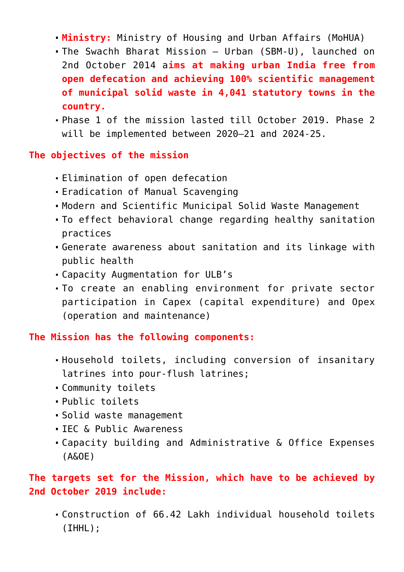- **Ministry:** Ministry of Housing and Urban Affairs (MoHUA)
- The Swachh Bharat Mission Urban (SBM-U), launched on 2nd October 2014 a**ims at making urban India free from open defecation and achieving 100% scientific management of municipal solid waste in 4,041 statutory towns in the country.**
- Phase 1 of the mission lasted till October 2019. Phase 2 will be implemented between 2020–21 and 2024-25.

#### **The objectives of the mission**

- Elimination of open defecation
- Eradication of Manual Scavenging
- Modern and Scientific Municipal Solid Waste Management
- To effect behavioral change regarding healthy sanitation practices
- Generate awareness about sanitation and its linkage with public health
- Capacity Augmentation for ULB's
- To create an enabling environment for private sector participation in Capex (capital expenditure) and Opex (operation and maintenance)

**The Mission has the following components:**

- Household toilets, including conversion of insanitary latrines into pour-flush latrines;
- Community toilets
- Public toilets
- Solid waste management
- IFC & Public Awareness
- Capacity building and Administrative & Office Expenses (A&OE)

# **The targets set for the Mission, which have to be achieved by 2nd October 2019 include:**

Construction of 66.42 Lakh individual household toilets (IHHL);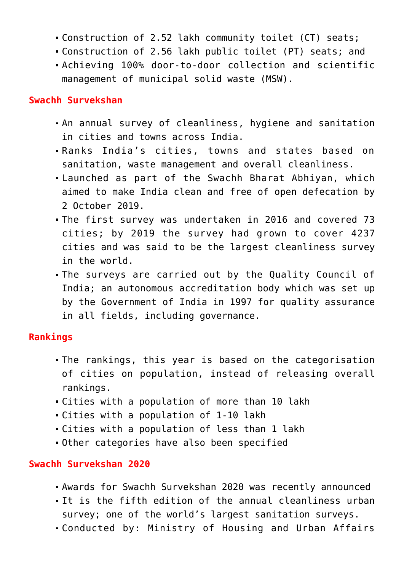- Construction of 2.52 lakh community toilet (CT) seats;
- Construction of 2.56 lakh public toilet (PT) seats; and
- Achieving 100% door-to-door collection and scientific management of municipal solid waste (MSW).

#### **Swachh Survekshan**

- An annual survey of cleanliness, hygiene and sanitation in cities and towns across India.
- Ranks India's cities, towns and states based on sanitation, waste management and overall cleanliness.
- Launched as part of the Swachh Bharat Abhiyan, which aimed to make India clean and free of open defecation by 2 October 2019.
- The first survey was undertaken in 2016 and covered 73 cities; by 2019 the survey had grown to cover 4237 cities and was said to be the largest cleanliness survey in the world.
- The surveys are carried out by the Quality Council of India; an autonomous accreditation body which was set up by the Government of India in 1997 for quality assurance in all fields, including governance.

# **Rankings**

- The rankings, this year is based on the categorisation of cities on population, instead of releasing overall rankings.
- Cities with a population of more than 10 lakh
- Cities with a population of 1-10 lakh
- Cities with a population of less than 1 lakh
- Other categories have also been specified

# **Swachh Survekshan 2020**

- Awards for Swachh Survekshan 2020 was recently announced
- It is the fifth edition of the annual cleanliness urban survey; one of the world's largest sanitation surveys.
- Conducted by: Ministry of Housing and Urban Affairs